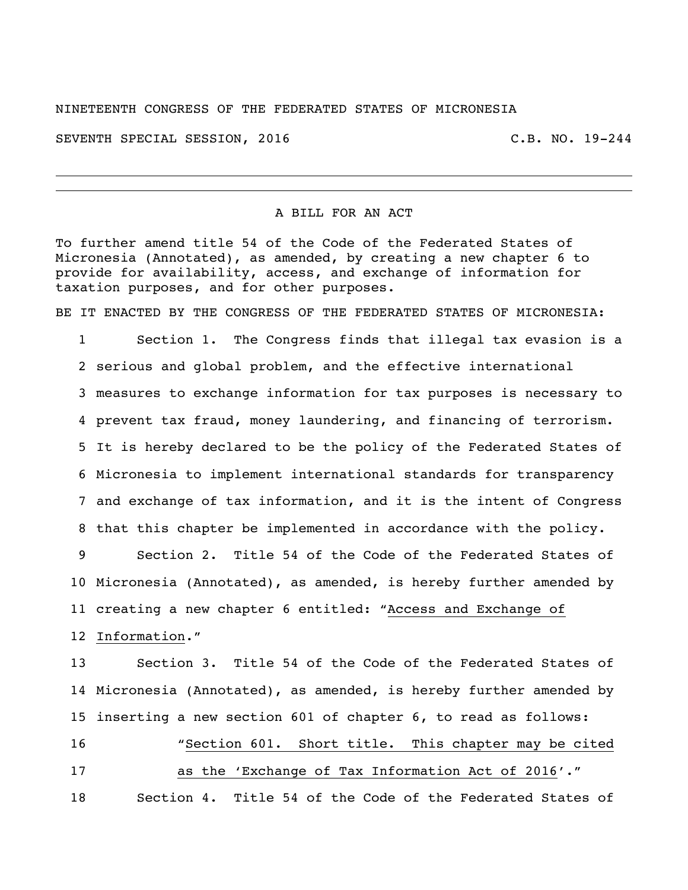NINETEENTH CONGRESS OF THE FEDERATED STATES OF MICRONESIA

SEVENTH SPECIAL SESSION, 2016 C.B. NO. 19-244

## A BILL FOR AN ACT

To further amend title 54 of the Code of the Federated States of Micronesia (Annotated), as amended, by creating a new chapter 6 to provide for availability, access, and exchange of information for taxation purposes, and for other purposes.

BE IT ENACTED BY THE CONGRESS OF THE FEDERATED STATES OF MICRONESIA:

 Section 1. The Congress finds that illegal tax evasion is a serious and global problem, and the effective international measures to exchange information for tax purposes is necessary to prevent tax fraud, money laundering, and financing of terrorism. It is hereby declared to be the policy of the Federated States of Micronesia to implement international standards for transparency and exchange of tax information, and it is the intent of Congress that this chapter be implemented in accordance with the policy.

 Section 2. Title 54 of the Code of the Federated States of Micronesia (Annotated), as amended, is hereby further amended by creating a new chapter 6 entitled: "Access and Exchange of Information."

 Section 3. Title 54 of the Code of the Federated States of Micronesia (Annotated), as amended, is hereby further amended by inserting a new section 601 of chapter 6, to read as follows: "Section 601. Short title. This chapter may be cited as the 'Exchange of Tax Information Act of 2016'." Section 4. Title 54 of the Code of the Federated States of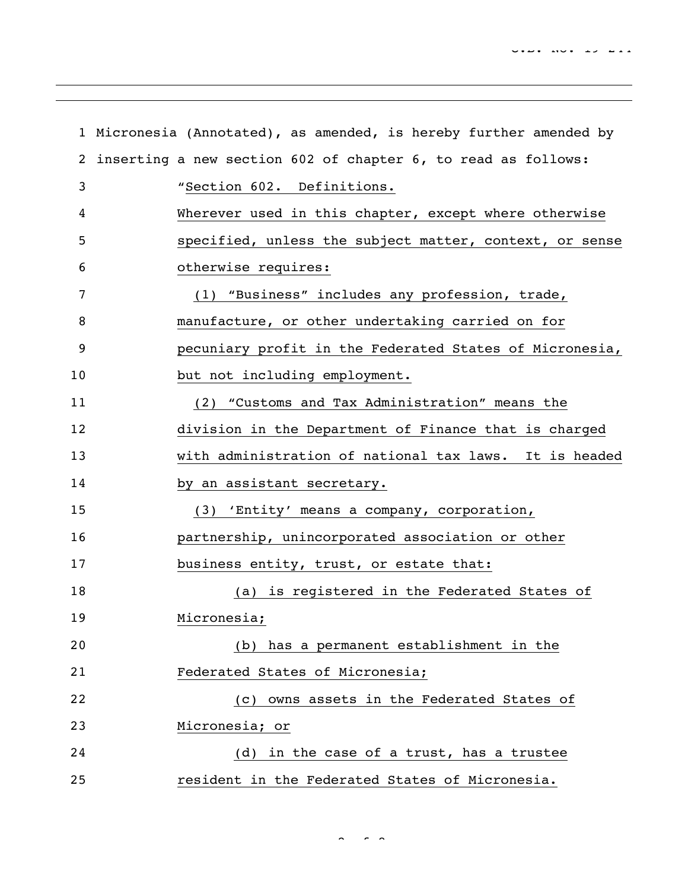|              | 1 Micronesia (Annotated), as amended, is hereby further amended by |
|--------------|--------------------------------------------------------------------|
| $\mathbf{2}$ | inserting a new section 602 of chapter 6, to read as follows:      |
| 3            | "Section 602. Definitions.                                         |
| 4            | Wherever used in this chapter, except where otherwise              |
| 5            | specified, unless the subject matter, context, or sense            |
| 6            | otherwise requires:                                                |
| 7            | (1) "Business" includes any profession, trade,                     |
| 8            | manufacture, or other undertaking carried on for                   |
| 9            | pecuniary profit in the Federated States of Micronesia,            |
| 10           | but not including employment.                                      |
| 11           | (2) "Customs and Tax Administration" means the                     |
| 12           | division in the Department of Finance that is charged              |
| 13           | with administration of national tax laws. It is headed             |
| 14           | by an assistant secretary.                                         |
| 15           | (3) 'Entity' means a company, corporation,                         |
| 16           | partnership, unincorporated association or other                   |
| 17           | business entity, trust, or estate that:                            |
| 18           | (a) is registered in the Federated States of                       |
| 19           | Micronesia;                                                        |
| 20           | (b) has a permanent establishment in the                           |
| 21           | Federated States of Micronesia;                                    |
| 22           | (c) owns assets in the Federated States of                         |
| 23           | Micronesia; or                                                     |
| 24           | (d) in the case of a trust, has a trustee                          |
| 25           | resident in the Federated States of Micronesia.                    |

 $\sim$   $\sim$   $\sim$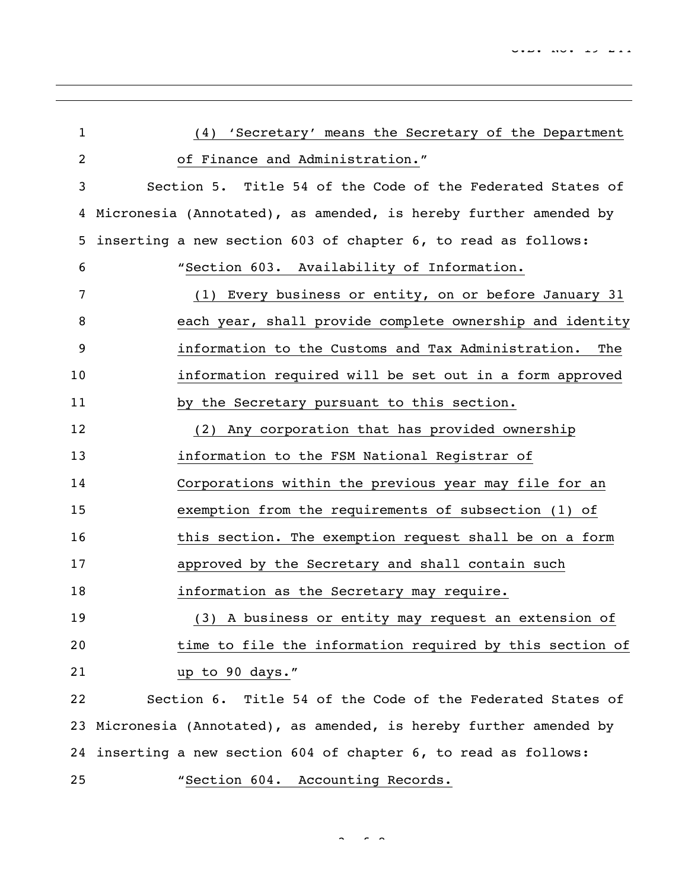| $\mathbf{1}$   | 'Secretary' means the Secretary of the Department<br>(4)            |
|----------------|---------------------------------------------------------------------|
| $\overline{c}$ | of Finance and Administration."                                     |
| 3              | Section 5. Title 54 of the Code of the Federated States of          |
| 4              | Micronesia (Annotated), as amended, is hereby further amended by    |
| 5              | inserting a new section 603 of chapter 6, to read as follows:       |
| 6              | "Section 603. Availability of Information.                          |
| 7              | (1) Every business or entity, on or before January 31               |
| 8              | each year, shall provide complete ownership and identity            |
| 9              | information to the Customs and Tax Administration.<br>The           |
| 10             | information required will be set out in a form approved             |
| 11             | by the Secretary pursuant to this section.                          |
| 12             | (2) Any corporation that has provided ownership                     |
| 13             | information to the FSM National Registrar of                        |
| 14             | Corporations within the previous year may file for an               |
| 15             | exemption from the requirements of subsection (1) of                |
| 16             | this section. The exemption request shall be on a form              |
| 17             | approved by the Secretary and shall contain such                    |
| 18             | information as the Secretary may require.                           |
| 19             | (3) A business or entity may request an extension of                |
| 20             | time to file the information required by this section of            |
| 21             | up to 90 days."                                                     |
| 22             | Section 6. Title 54 of the Code of the Federated States of          |
|                | 23 Micronesia (Annotated), as amended, is hereby further amended by |
|                | 24 inserting a new section 604 of chapter 6, to read as follows:    |
| 25             | "Section 604. Accounting Records.                                   |

 $\sim$  8  $\sim$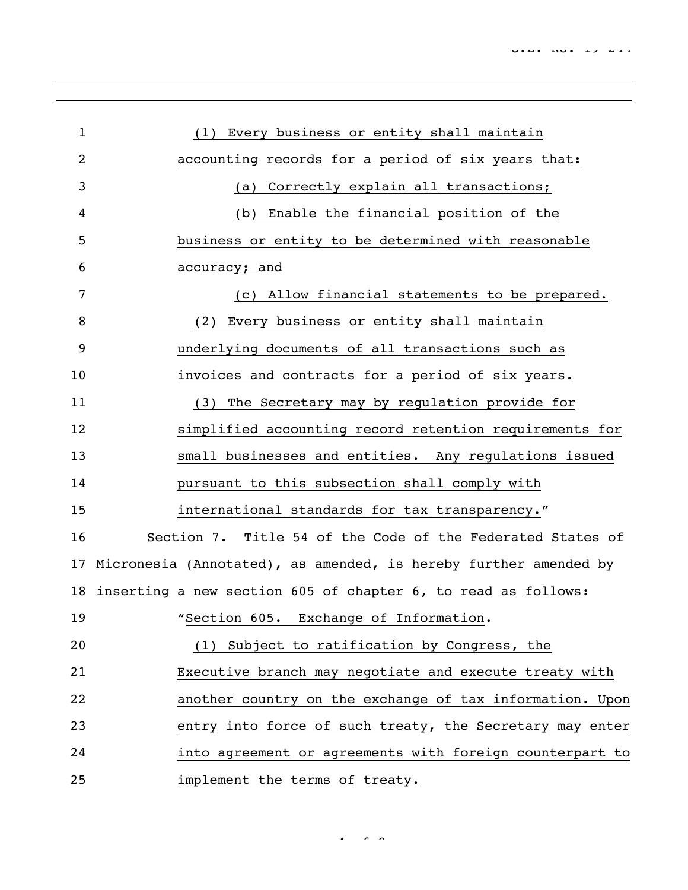| $\mathbf{1}$ | (1) Every business or entity shall maintain                      |
|--------------|------------------------------------------------------------------|
| 2            | accounting records for a period of six years that:               |
| 3            | Correctly explain all transactions;<br>(a)                       |
| 4            | Enable the financial position of the<br>(b)                      |
| 5            | business or entity to be determined with reasonable              |
| 6            | accuracy; and                                                    |
| 7            | Allow financial statements to be prepared.<br>(C)                |
| 8            | (2) Every business or entity shall maintain                      |
| 9            | underlying documents of all transactions such as                 |
| 10           | invoices and contracts for a period of six years.                |
| 11           | (3) The Secretary may by regulation provide for                  |
| 12           | simplified accounting record retention requirements for          |
| 13           | small businesses and entities. Any regulations issued            |
| 14           | pursuant to this subsection shall comply with                    |
| 15           | international standards for tax transparency."                   |
| 16           | Section 7. Title 54 of the Code of the Federated States of       |
| 17           | Micronesia (Annotated), as amended, is hereby further amended by |
| 18           | inserting a new section 605 of chapter 6, to read as follows:    |
| 19           | "Section 605. Exchange of Information.                           |
| 20           | (1) Subject to ratification by Congress, the                     |
| 21           | Executive branch may negotiate and execute treaty with           |
| 22           | another country on the exchange of tax information. Upon         |
| 23           | entry into force of such treaty, the Secretary may enter         |
| 24           | into agreement or agreements with foreign counterpart to         |
| 25           | implement the terms of treaty.                                   |

 $4 - 8 - 8$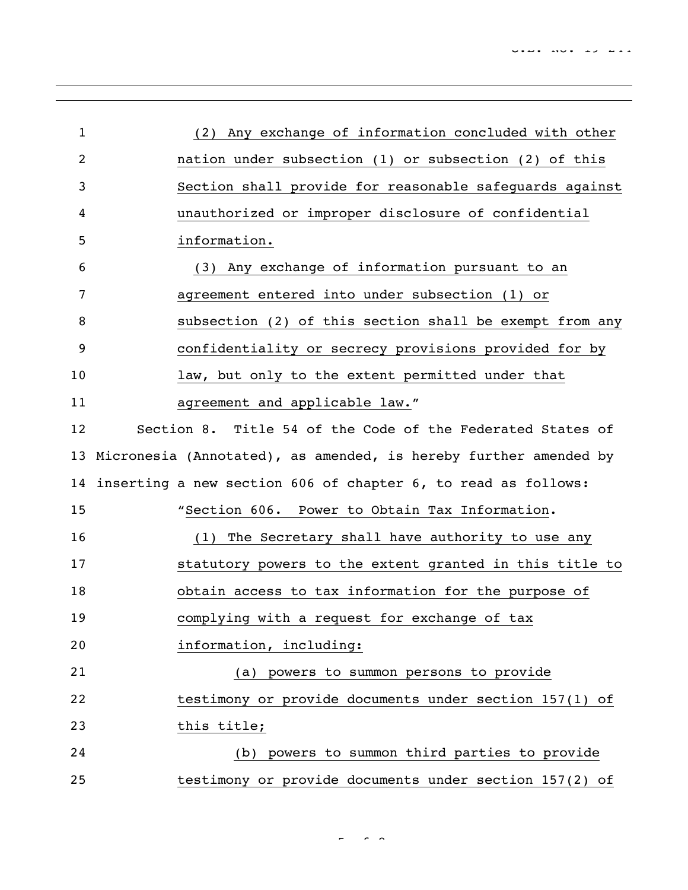| $\mathbf{1}$   | (2) Any exchange of information concluded with other             |
|----------------|------------------------------------------------------------------|
| $\overline{2}$ | nation under subsection (1) or subsection (2) of this            |
| 3              | Section shall provide for reasonable safeguards against          |
| 4              | unauthorized or improper disclosure of confidential              |
| 5              | information.                                                     |
| 6              | (3) Any exchange of information pursuant to an                   |
| 7              | agreement entered into under subsection (1) or                   |
| 8              | subsection (2) of this section shall be exempt from any          |
| 9              | confidentiality or secrecy provisions provided for by            |
| 10             | law, but only to the extent permitted under that                 |
| 11             | agreement and applicable law."                                   |
| 12             | Section 8. Title 54 of the Code of the Federated States of       |
| 13             | Micronesia (Annotated), as amended, is hereby further amended by |
| 14             | inserting a new section 606 of chapter 6, to read as follows:    |
| 15             | "Section 606. Power to Obtain Tax Information.                   |
| 16             | The Secretary shall have authority to use any<br>(1)             |
| 17             | statutory powers to the extent granted in this title to          |
| 18             | obtain access to tax information for the purpose of              |
| 19             | complying with a request for exchange of tax                     |
| 20             | information, including:                                          |
| 21             | (a) powers to summon persons to provide                          |
| 22             | testimony or provide documents under section 157(1) of           |
| 23             | this title;                                                      |
| 24             | (b) powers to summon third parties to provide                    |
| 25             | testimony or provide documents under section 157(2) of           |

of 8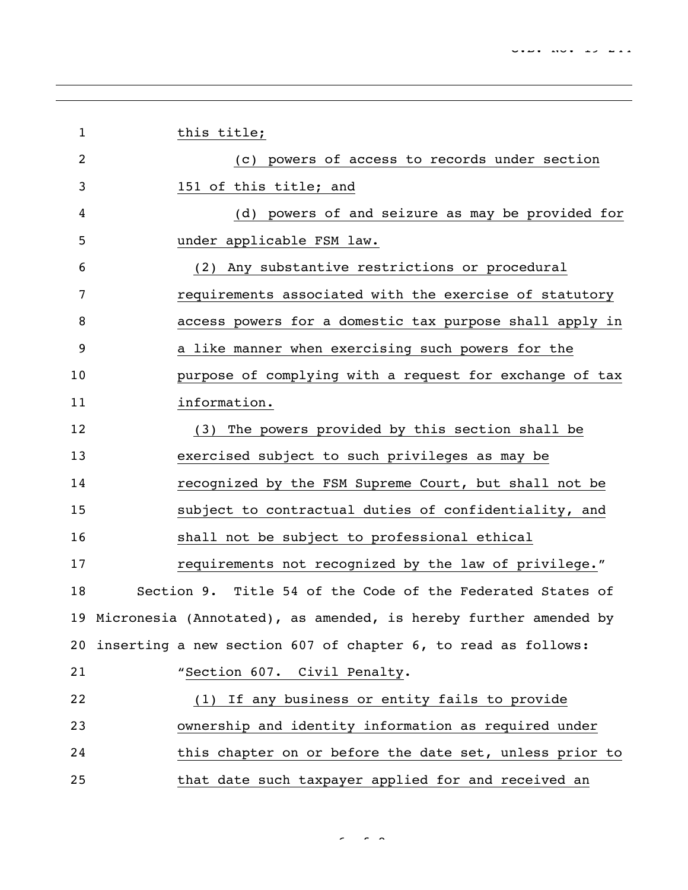| $\mathbf{1}$ | this title;                                                         |  |
|--------------|---------------------------------------------------------------------|--|
| 2            | (c) powers of access to records under section                       |  |
| 3            | 151 of this title; and                                              |  |
| 4            | (d) powers of and seizure as may be provided for                    |  |
| 5            | under applicable FSM law.                                           |  |
| 6            | (2) Any substantive restrictions or procedural                      |  |
| 7            | requirements associated with the exercise of statutory              |  |
| 8            | access powers for a domestic tax purpose shall apply in             |  |
| 9            | a like manner when exercising such powers for the                   |  |
| 10           | purpose of complying with a request for exchange of tax             |  |
| 11           | information.                                                        |  |
| 12           | The powers provided by this section shall be<br>(3)                 |  |
| 13           | exercised subject to such privileges as may be                      |  |
| 14           | recognized by the FSM Supreme Court, but shall not be               |  |
| 15           | subject to contractual duties of confidentiality, and               |  |
| 16           | shall not be subject to professional ethical                        |  |
| 17           | requirements not recognized by the law of privilege."               |  |
| 18           | Section 9. Title 54 of the Code of the Federated States of          |  |
|              | 19 Micronesia (Annotated), as amended, is hereby further amended by |  |
| 20           | inserting a new section 607 of chapter 6, to read as follows:       |  |
| 21           | "Section 607. Civil Penalty.                                        |  |
| 22           | (1) If any business or entity fails to provide                      |  |
| 23           | ownership and identity information as required under                |  |
| 24           | this chapter on or before the date set, unless prior to             |  |
| 25           | that date such taxpayer applied for and received an                 |  |

 $\sim$  6  $\sim$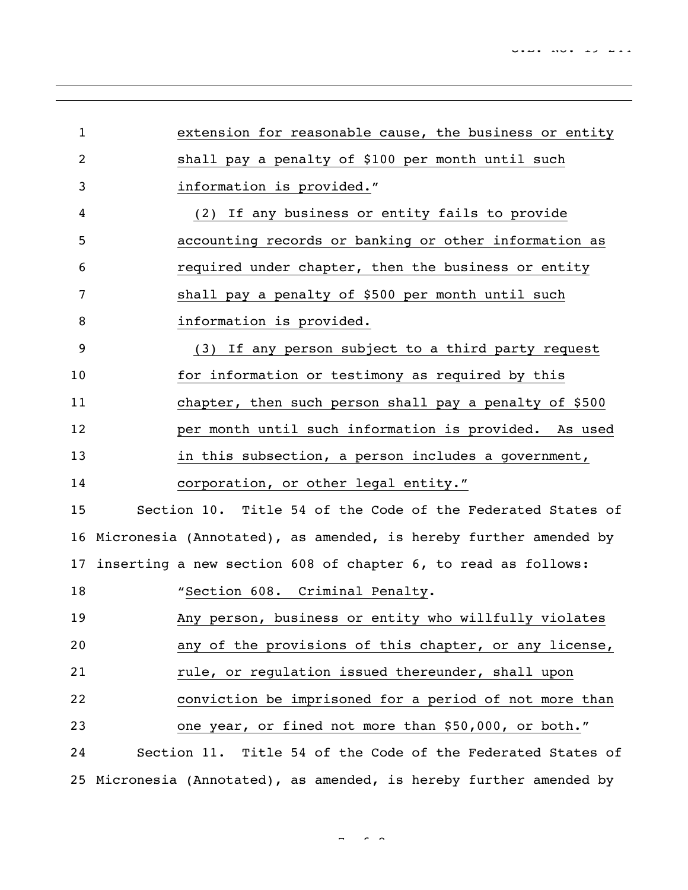| $\mathbf{1}$    | extension for reasonable cause, the business or entity              |
|-----------------|---------------------------------------------------------------------|
| 2               | shall pay a penalty of \$100 per month until such                   |
| 3               | information is provided."                                           |
| 4               | (2) If any business or entity fails to provide                      |
| 5               | accounting records or banking or other information as               |
| 6               | required under chapter, then the business or entity                 |
| 7               | shall pay a penalty of \$500 per month until such                   |
| 8               | information is provided.                                            |
| 9               | (3) If any person subject to a third party request                  |
| 10              | for information or testimony as required by this                    |
| 11              | chapter, then such person shall pay a penalty of \$500              |
| 12              | per month until such information is provided. As used               |
| 13              | in this subsection, a person includes a government,                 |
| 14              | corporation, or other legal entity."                                |
| 15              | Section 10. Title 54 of the Code of the Federated States of         |
|                 | 16 Micronesia (Annotated), as amended, is hereby further amended by |
| 17 <sub>2</sub> | inserting a new section 608 of chapter 6, to read as follows:       |
| 18              | "Section 608. Criminal Penalty.                                     |
| 19              | Any person, business or entity who willfully violates               |
| 20              | any of the provisions of this chapter, or any license,              |
| 21              | rule, or regulation issued thereunder, shall upon                   |
| 22              | conviction be imprisoned for a period of not more than              |
| 23              | one year, or fined not more than \$50,000, or both."                |
| 24              | Section 11. Title 54 of the Code of the Federated States of         |
|                 | 25 Micronesia (Annotated), as amended, is hereby further amended by |

 $-$